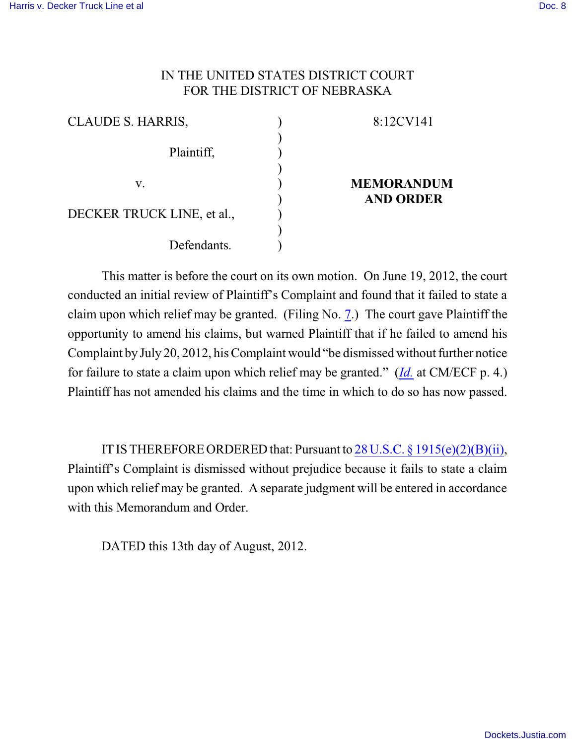## IN THE UNITED STATES DISTRICT COURT FOR THE DISTRICT OF NEBRASKA

| CLAUDE S. HARRIS,          |  |
|----------------------------|--|
| Plaintiff,                 |  |
| V.                         |  |
| DECKER TRUCK LINE, et al., |  |
| Defendants.                |  |

## 8:12CV141

## **MEMORANDUM AND ORDER**

This matter is before the court on its own motion. On June 19, 2012, the court conducted an initial review of Plaintiff's Complaint and found that it failed to state a claim upon which relief may be granted. (Filing No. [7](http://ecf.ned.uscourts.gov/doc1/11302548116).) The court gave Plaintiff the opportunity to amend his claims, but warned Plaintiff that if he failed to amend his Complaint by July 20, 2012, his Complaint would "be dismissed without further notice for failure to state a claim upon which relief may be granted." (*[Id.](https://ecf.ned.uscourts.gov/doc1/11312548116)* at CM/ECF p. 4.) Plaintiff has not amended his claims and the time in which to do so has now passed.

ITISTHEREFOREORDERED that: Pursuant to 28 U.S.C. [§ 1915\(e\)\(2\)\(B\)\(ii\)](http://www.westlaw.com/find/default.wl?rs=CLWP3.0&vr=2.0&cite=28+USCA+s+1915%28e%29%282%29%28ii%29), Plaintiff's Complaint is dismissed without prejudice because it fails to state a claim upon which relief may be granted. A separate judgment will be entered in accordance with this Memorandum and Order.

DATED this 13th day of August, 2012.